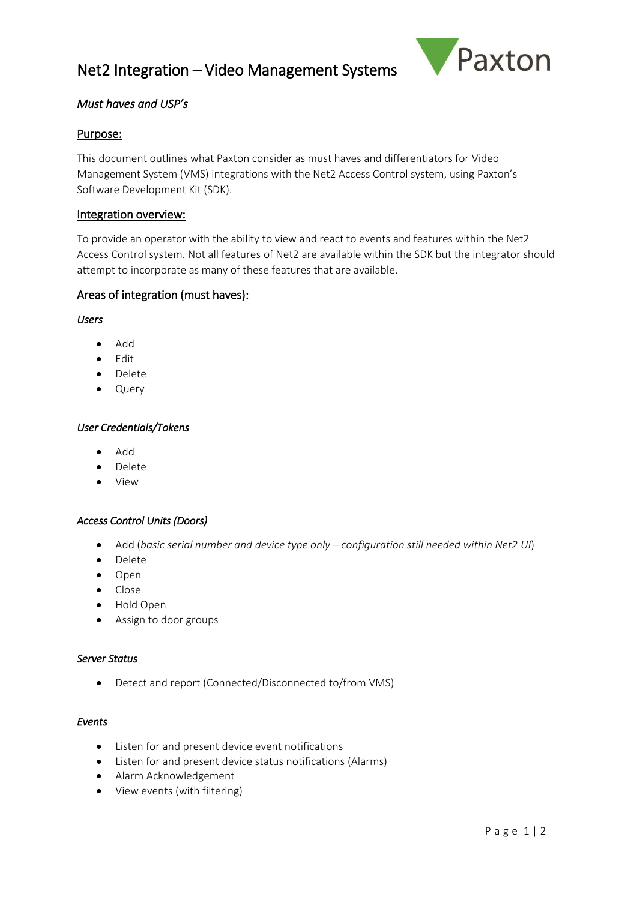# Net2 Integration – Video Management Systems



# *Must haves and USP's*

## Purpose:

This document outlines what Paxton consider as must haves and differentiators for Video Management System (VMS) integrations with the Net2 Access Control system, using Paxton's Software Development Kit (SDK).

## Integration overview:

To provide an operator with the ability to view and react to events and features within the Net2 Access Control system. Not all features of Net2 are available within the SDK but the integrator should attempt to incorporate as many of these features that are available.

## Areas of integration (must haves):

*Users*

- Add
- Edit
- Delete
- Query

#### *User Credentials/Tokens*

- Add
- Delete
- View

## *Access Control Units (Doors)*

- Add (*basic serial number and device type only – configuration still needed within Net2 UI*)
- Delete
- Open
- Close
- Hold Open
- Assign to door groups

#### *Server Status*

• Detect and report (Connected/Disconnected to/from VMS)

#### *Events*

- Listen for and present device event notifications
- Listen for and present device status notifications (Alarms)
- Alarm Acknowledgement
- View events (with filtering)